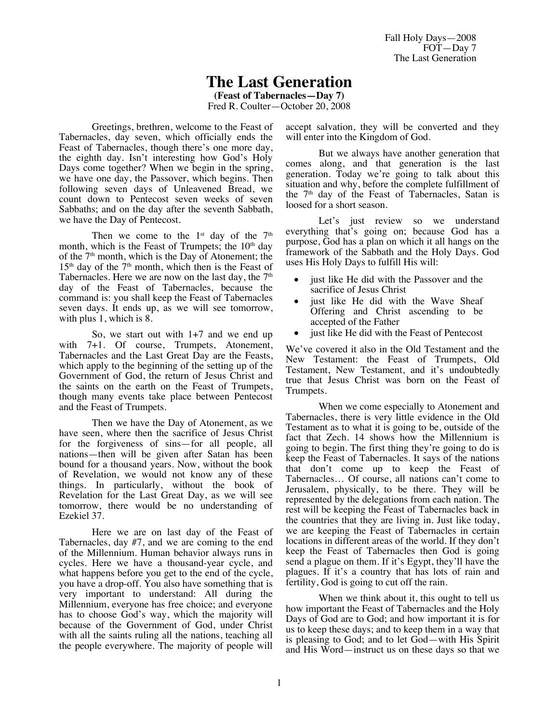Fall Holy Days—2008 FOT—Day 7 The Last Generation

## **The Last Generation**

**(Feast of Tabernacles—Day 7)**

Fred R. Coulter—October 20, 2008

Greetings, brethren, welcome to the Feast of Tabernacles, day seven, which officially ends the Feast of Tabernacles, though there's one more day, the eighth day. Isn't interesting how God's Holy Days come together? When we begin in the spring, we have one day, the Passover, which begins. Then following seven days of Unleavened Bread, we count down to Pentecost seven weeks of seven Sabbaths; and on the day after the seventh Sabbath, we have the Day of Pentecost.

Then we come to the  $1<sup>st</sup>$  day of the  $7<sup>th</sup>$ month, which is the Feast of Trumpets; the  $10<sup>th</sup>$  day of the  $7<sup>th</sup>$  month, which is the Day of Atonement; the  $15<sup>th</sup>$  day of the  $7<sup>th</sup>$  month, which then is the Feast of Tabernacles. Here we are now on the last day, the  $7<sup>th</sup>$ day of the Feast of Tabernacles, because the command is: you shall keep the Feast of Tabernacles seven days. It ends up, as we will see tomorrow, with plus 1, which is 8.

So, we start out with 1+7 and we end up with 7+1. Of course, Trumpets, Atonement, Tabernacles and the Last Great Day are the Feasts, which apply to the beginning of the setting up of the Government of God, the return of Jesus Christ and the saints on the earth on the Feast of Trumpets, though many events take place between Pentecost and the Feast of Trumpets.

Then we have the Day of Atonement, as we have seen, where then the sacrifice of Jesus Christ for the forgiveness of sins—for all people, all nations—then will be given after Satan has been bound for a thousand years. Now, without the book of Revelation, we would not know any of these things. In particularly, without the book of Revelation for the Last Great Day, as we will see tomorrow, there would be no understanding of Ezekiel 37.

Here we are on last day of the Feast of Tabernacles, day #7, and we are coming to the end of the Millennium. Human behavior always runs in cycles. Here we have a thousand-year cycle, and what happens before you get to the end of the cycle, you have a drop-off. You also have something that is very important to understand: All during the Millennium, everyone has free choice; and everyone has to choose God's way, which the majority will because of the Government of God, under Christ with all the saints ruling all the nations, teaching all the people everywhere. The majority of people will accept salvation, they will be converted and they will enter into the Kingdom of God.

But we always have another generation that comes along, and that generation is the last generation. Today we're going to talk about this situation and why, before the complete fulfillment of the 7<sup>th</sup> day of the Feast of Tabernacles, Satan is loosed for a short season.

Let's just review so we understand everything that's going on; because God has a purpose, God has a plan on which it all hangs on the framework of the Sabbath and the Holy Days. God uses His Holy Days to fulfill His will:

- just like He did with the Passover and the sacrifice of Jesus Christ
- just like He did with the Wave Sheaf Offering and Christ ascending to be accepted of the Father
- just like He did with the Feast of Pentecost

We've covered it also in the Old Testament and the New Testament: the Feast of Trumpets, Old Testament, New Testament, and it's undoubtedly true that Jesus Christ was born on the Feast of Trumpets.

When we come especially to Atonement and Tabernacles, there is very little evidence in the Old Testament as to what it is going to be, outside of the fact that Zech. 14 shows how the Millennium is going to begin. The first thing they're going to do is keep the Feast of Tabernacles. It says of the nations that don't come up to keep the Feast of Tabernacles… Of course, all nations can't come to Jerusalem, physically, to be there. They will be represented by the delegations from each nation. The rest will be keeping the Feast of Tabernacles back in the countries that they are living in. Just like today, we are keeping the Feast of Tabernacles in certain locations in different areas of the world. If they don't keep the Feast of Tabernacles then God is going send a plague on them. If it's Egypt, they'll have the plagues. If it's a country that has lots of rain and fertility, God is going to cut off the rain.

When we think about it, this ought to tell us how important the Feast of Tabernacles and the Holy Days of God are to God; and how important it is for us to keep these days; and to keep them in a way that is pleasing to God; and to let God—with His Spirit and His Word—instruct us on these days so that we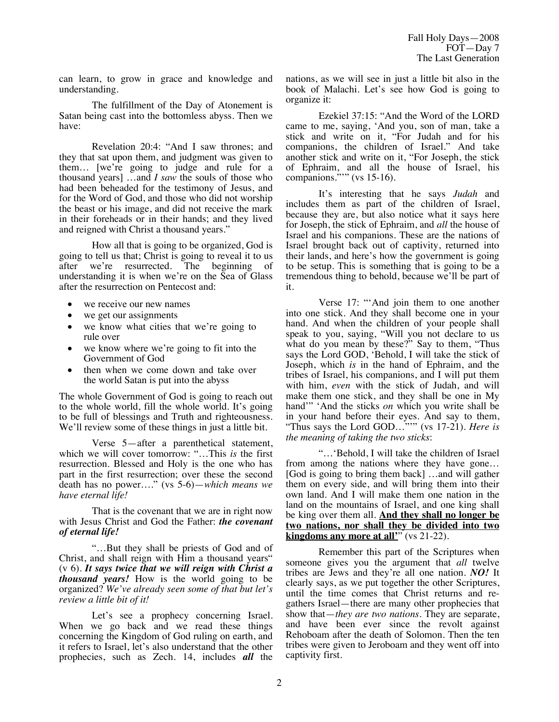can learn, to grow in grace and knowledge and understanding.

The fulfillment of the Day of Atonement is Satan being cast into the bottomless abyss. Then we have:

Revelation 20:4: "And I saw thrones; and they that sat upon them, and judgment was given to them… [we're going to judge and rule for a thousand years] …and *I saw* the souls of those who had been beheaded for the testimony of Jesus, and for the Word of God, and those who did not worship the beast or his image, and did not receive the mark in their foreheads or in their hands; and they lived and reigned with Christ a thousand years."

How all that is going to be organized, God is going to tell us that; Christ is going to reveal it to us after we're resurrected. The beginning of understanding it is when we're on the Sea of Glass after the resurrection on Pentecost and:

- we receive our new names
- we get our assignments
- we know what cities that we're going to rule over
- we know where we're going to fit into the Government of God
- then when we come down and take over the world Satan is put into the abyss

The whole Government of God is going to reach out to the whole world, fill the whole world. It's going to be full of blessings and Truth and righteousness. We'll review some of these things in just a little bit.

Verse 5—after a parenthetical statement, which we will cover tomorrow: "…This *is* the first resurrection. Blessed and Holy is the one who has part in the first resurrection; over these the second death has no power…." (vs 5-6)—*which means we have eternal life!* 

That is the covenant that we are in right now with Jesus Christ and God the Father: *the covenant of eternal life!*

"…But they shall be priests of God and of Christ, and shall reign with Him a thousand years" (v 6). *It says twice that we will reign with Christ a thousand years!* How is the world going to be organized? *We've already seen some of that but let's review a little bit of it!*

Let's see a prophecy concerning Israel. When we go back and we read these things concerning the Kingdom of God ruling on earth, and it refers to Israel, let's also understand that the other prophecies, such as Zech. 14, includes *all* the nations, as we will see in just a little bit also in the book of Malachi. Let's see how God is going to organize it:

Ezekiel 37:15: "And the Word of the LORD came to me, saying, 'And you, son of man, take a stick and write on it, "For Judah and for his companions, the children of Israel." And take another stick and write on it, "For Joseph, the stick of Ephraim, and all the house of Israel, his companions."" (vs  $15-16$ ).

It's interesting that he says *Judah* and includes them as part of the children of Israel, because they are, but also notice what it says here for Joseph, the stick of Ephraim, and *all* the house of Israel and his companions. These are the nations of Israel brought back out of captivity, returned into their lands, and here's how the government is going to be setup. This is something that is going to be a tremendous thing to behold, because we'll be part of it.

Verse 17: "'And join them to one another into one stick. And they shall become one in your hand. And when the children of your people shall speak to you, saying, "Will you not declare to us what do you mean by these?" Say to them, "Thus says the Lord GOD, 'Behold, I will take the stick of Joseph, which *is* in the hand of Ephraim, and the tribes of Israel, his companions, and I will put them with him, *even* with the stick of Judah, and will make them one stick, and they shall be one in My hand'" 'And the sticks *on* which you write shall be in your hand before their eyes. And say to them, "Thus says the Lord GOD…"'" (vs 17-21). *Here is the meaning of taking the two sticks*:

"…'Behold, I will take the children of Israel from among the nations where they have gone… [God is going to bring them back] …and will gather them on every side, and will bring them into their own land. And I will make them one nation in the land on the mountains of Israel, and one king shall be king over them all. **And they shall no longer be two nations, nor shall they be divided into two kingdoms any more at all'''** (vs 21-22).

Remember this part of the Scriptures when someone gives you the argument that *all* twelve tribes are Jews and they're all one nation. *NO!* It clearly says, as we put together the other Scriptures, until the time comes that Christ returns and regathers Israel—there are many other prophecies that show that—*they are two nations*. They are separate, and have been ever since the revolt against Rehoboam after the death of Solomon. Then the ten tribes were given to Jeroboam and they went off into captivity first.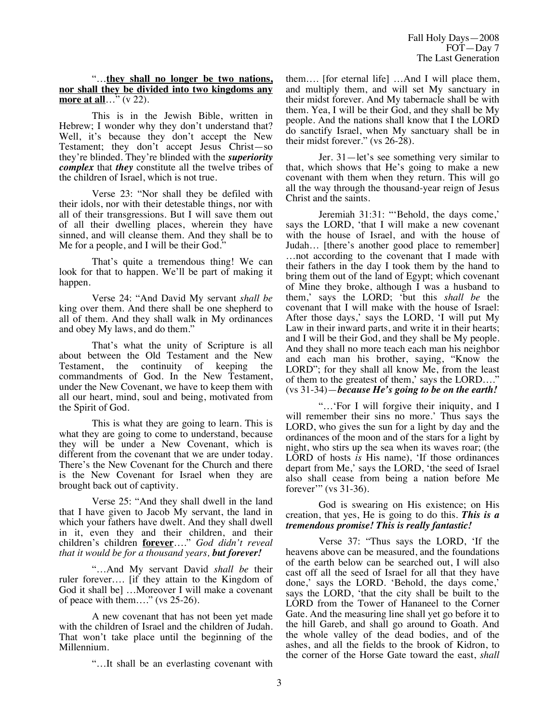## "…**they shall no longer be two nations, nor shall they be divided into two kingdoms any more at all**…" (v 22).

This is in the Jewish Bible, written in Hebrew; I wonder why they don't understand that? Well, it's because they don't accept the New Testament; they don't accept Jesus Christ—so they're blinded. They're blinded with the *superiority complex* that *they* constitute all the twelve tribes of the children of Israel, which is not true.

Verse 23: "Nor shall they be defiled with their idols, nor with their detestable things, nor with all of their transgressions. But I will save them out of all their dwelling places, wherein they have sinned, and will cleanse them. And they shall be to Me for a people, and I will be their God."

That's quite a tremendous thing! We can look for that to happen. We'll be part of making it happen.

Verse 24: "And David My servant *shall be* king over them. And there shall be one shepherd to all of them. And they shall walk in My ordinances and obey My laws, and do them."

That's what the unity of Scripture is all about between the Old Testament and the New<br>Testament, the continuity of keeping the Testament, the continuity of keeping the commandments of God. In the New Testament, under the New Covenant, we have to keep them with all our heart, mind, soul and being, motivated from the Spirit of God.

This is what they are going to learn. This is what they are going to come to understand, because they will be under a New Covenant, which is different from the covenant that we are under today. There's the New Covenant for the Church and there is the New Covenant for Israel when they are brought back out of captivity.

Verse 25: "And they shall dwell in the land that I have given to Jacob My servant, the land in which your fathers have dwelt. And they shall dwell in it, even they and their children, and their children's children **forever**…." *God didn't reveal that it would be for a thousand years, but forever!*

"…And My servant David *shall be* their ruler forever…. [if they attain to the Kingdom of God it shall be] …Moreover I will make a covenant of peace with them…." (vs 25-26).

A new covenant that has not been yet made with the children of Israel and the children of Judah. That won't take place until the beginning of the Millennium.

"…It shall be an everlasting covenant with

them…. [for eternal life] …And I will place them, and multiply them, and will set My sanctuary in their midst forever. And My tabernacle shall be with them. Yea, I will be their God, and they shall be My people. And the nations shall know that I the LORD do sanctify Israel, when My sanctuary shall be in their midst forever." (vs 26-28).

Jer. 31—let's see something very similar to that, which shows that He's going to make a new covenant with them when they return. This will go all the way through the thousand-year reign of Jesus Christ and the saints.

Jeremiah 31:31: "'Behold, the days come,' says the LORD, 'that I will make a new covenant with the house of Israel, and with the house of Judah… [there's another good place to remember] …not according to the covenant that I made with their fathers in the day I took them by the hand to bring them out of the land of Egypt; which covenant of Mine they broke, although I was a husband to them,' says the LORD; 'but this *shall be* the covenant that I will make with the house of Israel: After those days,' says the LORD, 'I will put My Law in their inward parts, and write it in their hearts; and I will be their God, and they shall be My people. And they shall no more teach each man his neighbor and each man his brother, saying, "Know the LORD"; for they shall all know Me, from the least of them to the greatest of them,' says the LORD…." (vs 31-34)—*because He's going to be on the earth!*

"…'For I will forgive their iniquity, and I will remember their sins no more.' Thus says the LORD, who gives the sun for a light by day and the ordinances of the moon and of the stars for a light by night, who stirs up the sea when its waves roar; (the LORD of hosts *is* His name), 'If those ordinances depart from Me,' says the LORD, 'the seed of Israel also shall cease from being a nation before Me forever" (vs 31-36).

God is swearing on His existence; on His creation, that yes, He is going to do this. *This is a tremendous promise! This is really fantastic!*

Verse 37: "Thus says the LORD, 'If the heavens above can be measured, and the foundations of the earth below can be searched out, I will also cast off all the seed of Israel for all that they have done,' says the LORD. 'Behold, the days come,' says the LORD, 'that the city shall be built to the LORD from the Tower of Hananeel to the Corner Gate. And the measuring line shall yet go before it to the hill Gareb, and shall go around to Goath. And the whole valley of the dead bodies, and of the ashes, and all the fields to the brook of Kidron, to the corner of the Horse Gate toward the east, *shall*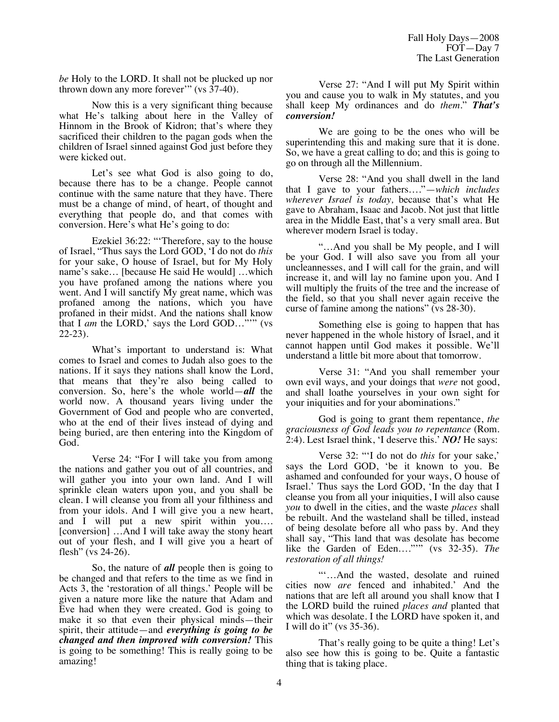*be* Holy to the LORD. It shall not be plucked up nor thrown down any more forever" (vs  $37-40$ ).

Now this is a very significant thing because what He's talking about here in the Valley of Hinnom in the Brook of Kidron; that's where they sacrificed their children to the pagan gods when the children of Israel sinned against God just before they were kicked out.

Let's see what God is also going to do, because there has to be a change. People cannot continue with the same nature that they have. There must be a change of mind, of heart, of thought and everything that people do, and that comes with conversion. Here's what He's going to do:

Ezekiel 36:22: "'Therefore, say to the house of Israel, "Thus says the Lord GOD, 'I do not do *this* for your sake, O house of Israel, but for My Holy name's sake… [because He said He would] …which you have profaned among the nations where you went. And I will sanctify My great name, which was profaned among the nations, which you have profaned in their midst. And the nations shall know that I *am* the LORD,' says the Lord GOD…"'" (vs 22-23).

What's important to understand is: What comes to Israel and comes to Judah also goes to the nations. If it says they nations shall know the Lord, that means that they're also being called to conversion. So, here's the whole world—*all* the world now. A thousand years living under the Government of God and people who are converted, who at the end of their lives instead of dying and being buried, are then entering into the Kingdom of God.

Verse 24: "For I will take you from among the nations and gather you out of all countries, and will gather you into your own land. And I will sprinkle clean waters upon you, and you shall be clean. I will cleanse you from all your filthiness and from your idols. And I will give you a new heart, and I will put a new spirit within you…. [conversion] …And I will take away the stony heart out of your flesh, and I will give you a heart of flesh" (vs 24-26).

So, the nature of *all* people then is going to be changed and that refers to the time as we find in Acts 3, the 'restoration of all things.' People will be given a nature more like the nature that Adam and Eve had when they were created. God is going to make it so that even their physical minds—their spirit, their attitude—and *everything is going to be changed and then improved with conversion!* This is going to be something! This is really going to be amazing!

Verse 27: "And I will put My Spirit within you and cause you to walk in My statutes, and you shall keep My ordinances and do *them*." *That's conversion!*

We are going to be the ones who will be superintending this and making sure that it is done. So, we have a great calling to do; and this is going to go on through all the Millennium.

Verse 28: "And you shall dwell in the land that I gave to your fathers…."—*which includes wherever Israel is today,* because that's what He gave to Abraham, Isaac and Jacob. Not just that little area in the Middle East, that's a very small area. But wherever modern Israel is today.

"…And you shall be My people, and I will be your God. I will also save you from all your uncleannesses, and I will call for the grain, and will increase it, and will lay no famine upon you. And I will multiply the fruits of the tree and the increase of the field, so that you shall never again receive the curse of famine among the nations" (vs 28-30).

Something else is going to happen that has never happened in the whole history of Israel, and it cannot happen until God makes it possible. We'll understand a little bit more about that tomorrow.

Verse 31: "And you shall remember your own evil ways, and your doings that *were* not good, and shall loathe yourselves in your own sight for your iniquities and for your abominations."

God is going to grant them repentance, *the graciousness of God leads you to repentance* (Rom. 2:4). Lest Israel think, 'I deserve this.' *NO!* He says:

Verse 32: "'I do not do *this* for your sake,' says the Lord GOD, 'be it known to you. Be ashamed and confounded for your ways, O house of Israel.' Thus says the Lord GOD, 'In the day that I cleanse you from all your iniquities, I will also cause *you* to dwell in the cities, and the waste *places* shall be rebuilt. And the wasteland shall be tilled, instead of being desolate before all who pass by. And they shall say, "This land that was desolate has become like the Garden of Eden…."'" (vs 32-35). *The restoration of all things!*

"'…And the wasted, desolate and ruined cities now *are* fenced and inhabited.' And the nations that are left all around you shall know that I the LORD build the ruined *places and* planted that which was desolate. I the LORD have spoken it, and I will do it" (vs 35-36).

That's really going to be quite a thing! Let's also see how this is going to be. Quite a fantastic thing that is taking place.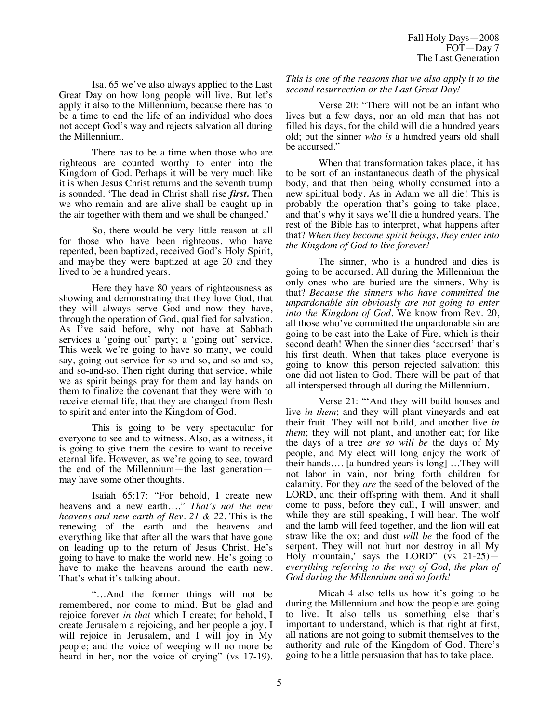Isa. 65 we've also always applied to the Last Great Day on how long people will live. But let's apply it also to the Millennium, because there has to be a time to end the life of an individual who does not accept God's way and rejects salvation all during the Millennium.

There has to be a time when those who are righteous are counted worthy to enter into the Kingdom of God. Perhaps it will be very much like it is when Jesus Christ returns and the seventh trump is sounded. 'The dead in Christ shall rise *first.* Then we who remain and are alive shall be caught up in the air together with them and we shall be changed.'

So, there would be very little reason at all for those who have been righteous, who have repented, been baptized, received God's Holy Spirit, and maybe they were baptized at age 20 and they lived to be a hundred years.

Here they have 80 years of righteousness as showing and demonstrating that they love God, that they will always serve God and now they have, through the operation of God, qualified for salvation. As I've said before, why not have at Sabbath services a 'going out' party; a 'going out' service. This week we're going to have so many, we could say, going out service for so-and-so, and so-and-so, and so-and-so. Then right during that service, while we as spirit beings pray for them and lay hands on them to finalize the covenant that they were with to receive eternal life, that they are changed from flesh to spirit and enter into the Kingdom of God.

This is going to be very spectacular for everyone to see and to witness. Also, as a witness, it is going to give them the desire to want to receive eternal life. However, as we're going to see, toward the end of the Millennium—the last generation may have some other thoughts.

Isaiah 65:17: "For behold, I create new heavens and a new earth…." *That's not the new heavens and new earth of Rev. 21 & 22.* This is the renewing of the earth and the heavens and everything like that after all the wars that have gone on leading up to the return of Jesus Christ. He's going to have to make the world new. He's going to have to make the heavens around the earth new. That's what it's talking about.

"…And the former things will not be remembered, nor come to mind. But be glad and rejoice forever *in that* which I create; for behold, I create Jerusalem a rejoicing, and her people a joy. I will rejoice in Jerusalem, and I will joy in My people; and the voice of weeping will no more be heard in her, nor the voice of crying" (vs 17-19). *This is one of the reasons that we also apply it to the second resurrection or the Last Great Day!* 

Verse 20: "There will not be an infant who lives but a few days, nor an old man that has not filled his days, for the child will die a hundred years old; but the sinner *who is* a hundred years old shall be accursed."

When that transformation takes place, it has to be sort of an instantaneous death of the physical body, and that then being wholly consumed into a new spiritual body. As in Adam we all die! This is probably the operation that's going to take place, and that's why it says we'll die a hundred years. The rest of the Bible has to interpret, what happens after that? *When they become spirit beings, they enter into the Kingdom of God to live forever!*

The sinner, who is a hundred and dies is going to be accursed. All during the Millennium the only ones who are buried are the sinners. Why is that? *Because the sinners who have committed the unpardonable sin obviously are not going to enter into the Kingdom of God.* We know from Rev. 20, all those who've committed the unpardonable sin are going to be cast into the Lake of Fire, which is their second death! When the sinner dies 'accursed' that's his first death. When that takes place everyone is going to know this person rejected salvation; this one did not listen to God. There will be part of that all interspersed through all during the Millennium.

Verse 21: "'And they will build houses and live *in them*; and they will plant vineyards and eat their fruit. They will not build, and another live *in them*; they will not plant, and another eat; for like the days of a tree *are so will be* the days of My people, and My elect will long enjoy the work of their hands…. [a hundred years is long] …They will not labor in vain, nor bring forth children for calamity. For they *are* the seed of the beloved of the LORD, and their offspring with them. And it shall come to pass, before they call, I will answer; and while they are still speaking, I will hear. The wolf and the lamb will feed together, and the lion will eat straw like the ox; and dust *will be* the food of the serpent. They will not hurt nor destroy in all My Holy mountain,' says the LORD" (vs 21-25) *everything referring to the way of God, the plan of God during the Millennium and so forth!*

Micah 4 also tells us how it's going to be during the Millennium and how the people are going to live. It also tells us something else that's important to understand, which is that right at first, all nations are not going to submit themselves to the authority and rule of the Kingdom of God. There's going to be a little persuasion that has to take place.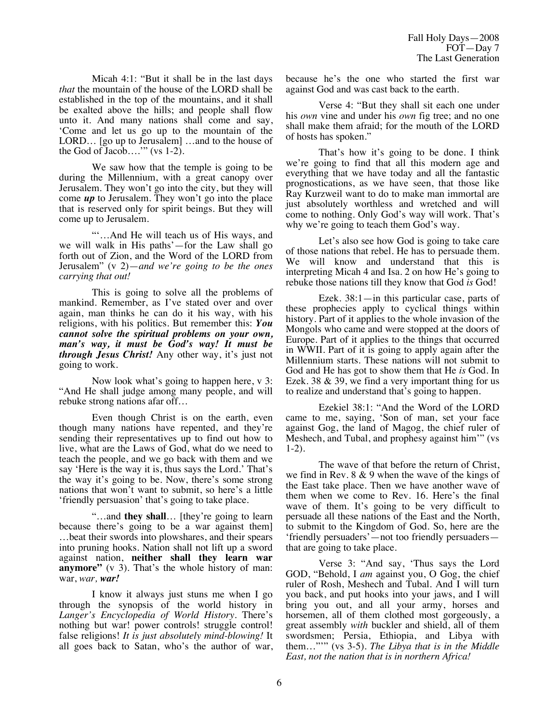Micah 4:1: "But it shall be in the last days *that* the mountain of the house of the LORD shall be established in the top of the mountains, and it shall be exalted above the hills; and people shall flow unto it. And many nations shall come and say, 'Come and let us go up to the mountain of the LORD… [go up to Jerusalem] …and to the house of the God of Jacob...."  $(vs 1-2)$ .

We saw how that the temple is going to be during the Millennium, with a great canopy over Jerusalem. They won't go into the city, but they will come *up* to Jerusalem. They won't go into the place that is reserved only for spirit beings. But they will come up to Jerusalem.

"'…And He will teach us of His ways, and we will walk in His paths'—for the Law shall go forth out of Zion, and the Word of the LORD from Jerusalem" (v 2)—*and we're going to be the ones carrying that out!*

This is going to solve all the problems of mankind. Remember, as I've stated over and over again, man thinks he can do it his way, with his religions, with his politics. But remember this: *You cannot solve the spiritual problems on your own, man's way, it must be God's way! It must be through Jesus Christ!* Any other way, it's just not going to work.

Now look what's going to happen here,  $v$  3: "And He shall judge among many people, and will rebuke strong nations afar off…

Even though Christ is on the earth, even though many nations have repented, and they're sending their representatives up to find out how to live, what are the Laws of God, what do we need to teach the people, and we go back with them and we say 'Here is the way it is, thus says the Lord.' That's the way it's going to be. Now, there's some strong nations that won't want to submit, so here's a little 'friendly persuasion' that's going to take place.

"…and **they shall**… [they're going to learn because there's going to be a war against them] …beat their swords into plowshares, and their spears into pruning hooks. Nation shall not lift up a sword against nation, **neither shall they learn war anymore"** (v 3). That's the whole history of man: war, *war, war!*

I know it always just stuns me when I go through the synopsis of the world history in *Langer's Encyclopedia of World History*. There's nothing but war! power controls! struggle control! false religions! *It is just absolutely mind-blowing!* It all goes back to Satan, who's the author of war, because he's the one who started the first war against God and was cast back to the earth.

Verse 4: "But they shall sit each one under his *own* vine and under his *own* fig tree; and no one shall make them afraid; for the mouth of the LORD of hosts has spoken."

That's how it's going to be done. I think we're going to find that all this modern age and everything that we have today and all the fantastic prognostications, as we have seen, that those like Ray Kurzweil want to do to make man immortal are just absolutely worthless and wretched and will come to nothing. Only God's way will work. That's why we're going to teach them God's way.

Let's also see how God is going to take care of those nations that rebel. He has to persuade them. We will know and understand that this is interpreting Micah 4 and Isa. 2 on how He's going to rebuke those nations till they know that God *is* God!

Ezek. 38:1—in this particular case, parts of these prophecies apply to cyclical things within history. Part of it applies to the whole invasion of the Mongols who came and were stopped at the doors of Europe. Part of it applies to the things that occurred in WWII. Part of it is going to apply again after the Millennium starts. These nations will not submit to God and He has got to show them that He *is* God. In Ezek. 38 & 39, we find a very important thing for us to realize and understand that's going to happen.

Ezekiel 38:1: "And the Word of the LORD came to me, saying, 'Son of man, set your face against Gog, the land of Magog, the chief ruler of Meshech, and Tubal, and prophesy against him'" (vs 1-2).

The wave of that before the return of Christ, we find in Rev. 8 & 9 when the wave of the kings of the East take place. Then we have another wave of them when we come to Rev. 16. Here's the final wave of them. It's going to be very difficult to persuade all these nations of the East and the North, to submit to the Kingdom of God. So, here are the 'friendly persuaders'—not too friendly persuaders that are going to take place.

Verse 3: "And say, 'Thus says the Lord GOD, "Behold, I *am* against you, O Gog, the chief ruler of Rosh, Meshech and Tubal. And I will turn you back, and put hooks into your jaws, and I will bring you out, and all your army, horses and horsemen, all of them clothed most gorgeously, a great assembly *with* buckler and shield, all of them swordsmen; Persia, Ethiopia, and Libya with them…"'" (vs 3-5). *The Libya that is in the Middle East, not the nation that is in northern Africa!*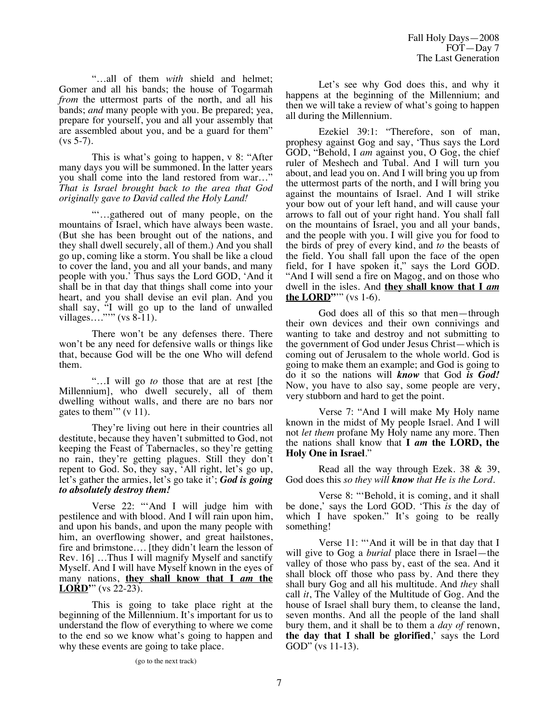"…all of them *with* shield and helmet; Gomer and all his bands; the house of Togarmah *from* the uttermost parts of the north, and all his bands; *and* many people with you. Be prepared; yea, prepare for yourself, you and all your assembly that are assembled about you, and be a guard for them"  $(vs 5-7)$ .

This is what's going to happen, v 8: "After many days you will be summoned. In the latter years you shall come into the land restored from war…" *That is Israel brought back to the area that God originally gave to David called the Holy Land!*

"'…gathered out of many people, on the mountains of Israel, which have always been waste. (But she has been brought out of the nations, and they shall dwell securely, all of them.) And you shall go up, coming like a storm. You shall be like a cloud to cover the land, you and all your bands, and many people with you.' Thus says the Lord GOD, 'And it shall be in that day that things shall come into your heart, and you shall devise an evil plan. And you shall say, "I will go up to the land of unwalled villages…."'" (vs 8-11).

There won't be any defenses there. There won't be any need for defensive walls or things like that, because God will be the one Who will defend them.

"…I will go *to* those that are at rest [the Millennium], who dwell securely, all of them dwelling without walls, and there are no bars nor gates to them'" (v 11).

They're living out here in their countries all destitute, because they haven't submitted to God, not keeping the Feast of Tabernacles, so they're getting no rain, they're getting plagues. Still they don't repent to God. So, they say, 'All right, let's go up, let's gather the armies, let's go take it'; *God is going to absolutely destroy them!*

Verse 22: "'And I will judge him with pestilence and with blood. And I will rain upon him, and upon his bands, and upon the many people with him, an overflowing shower, and great hailstones, fire and brimstone…. [they didn't learn the lesson of Rev. 16] …Thus I will magnify Myself and sanctify Myself. And I will have Myself known in the eyes of many nations, **they shall know that I** *am* **the LORD'**" (vs 22-23).

This is going to take place right at the beginning of the Millennium. It's important for us to understand the flow of everything to where we come to the end so we know what's going to happen and why these events are going to take place.

Let's see why God does this, and why it happens at the beginning of the Millennium; and then we will take a review of what's going to happen all during the Millennium.

Ezekiel 39:1: "Therefore, son of man, prophesy against Gog and say, 'Thus says the Lord GOD, "Behold, I *am* against you, O Gog, the chief ruler of Meshech and Tubal. And I will turn you about, and lead you on. And I will bring you up from the uttermost parts of the north, and I will bring you against the mountains of Israel. And I will strike your bow out of your left hand, and will cause your arrows to fall out of your right hand. You shall fall on the mountains of Israel, you and all your bands, and the people with you. I will give you for food to the birds of prey of every kind, and *to* the beasts of the field. You shall fall upon the face of the open field, for I have spoken  $i$ t," says the Lord G $\hat{OD}$ . "And I will send a fire on Magog, and on those who dwell in the isles. And **they shall know that I** *am* **the LORD''"** (vs 1-6).

God does all of this so that men—through their own devices and their own connivings and wanting to take and destroy and not submitting to the government of God under Jesus Christ—which is coming out of Jerusalem to the whole world. God is going to make them an example; and God is going to do it so the nations will *know* that God *is God!* Now, you have to also say, some people are very, very stubborn and hard to get the point.

Verse 7: "And I will make My Holy name known in the midst of My people Israel. And I will not *let them* profane My Holy name any more. Then the nations shall know that **I** *am* **the LORD, the Holy One in Israel**."

Read all the way through Ezek. 38 & 39, God does this *so they will know that He is the Lord*.

Verse 8: "'Behold, it is coming, and it shall be done,' says the Lord GOD. 'This *is* the day of which I have spoken." It's going to be really something!

Verse 11: "'And it will be in that day that I will give to Gog a *burial* place there in Israel—the valley of those who pass by, east of the sea. And it shall block off those who pass by. And there they shall bury Gog and all his multitude. And *they* shall call *it*, The Valley of the Multitude of Gog. And the house of Israel shall bury them, to cleanse the land, seven months. And all the people of the land shall bury them, and it shall be to them a *day of* renown, **the day that I shall be glorified**,' says the Lord GOD" (vs 11-13).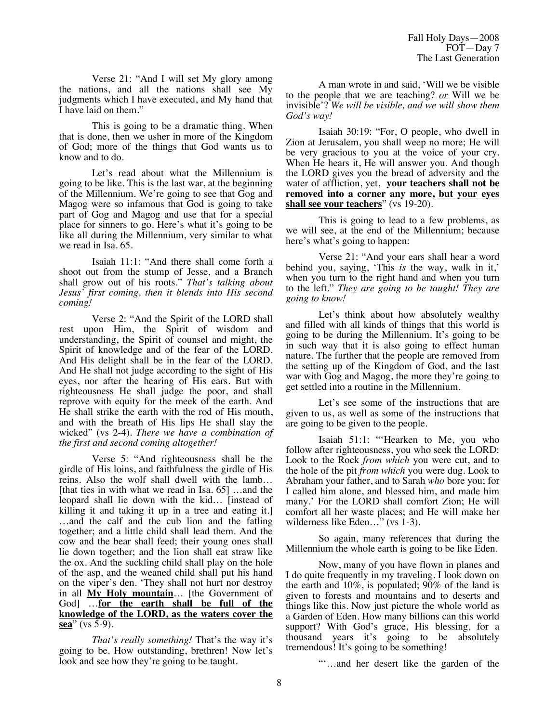Verse 21: "And I will set My glory among the nations, and all the nations shall see My judgments which I have executed, and My hand that I have laid on them."

This is going to be a dramatic thing. When that is done, then we usher in more of the Kingdom of God; more of the things that God wants us to know and to do.

Let's read about what the Millennium is going to be like. This is the last war, at the beginning of the Millennium. We're going to see that Gog and Magog were so infamous that God is going to take part of Gog and Magog and use that for a special place for sinners to go. Here's what it's going to be like all during the Millennium, very similar to what we read in Isa. 65.

Isaiah 11:1: "And there shall come forth a shoot out from the stump of Jesse, and a Branch shall grow out of his roots." *That's talking about Jesus' first coming, then it blends into His second coming!*

Verse 2: "And the Spirit of the LORD shall rest upon Him, the Spirit of wisdom and understanding, the Spirit of counsel and might, the Spirit of knowledge and of the fear of the LORD. And His delight shall be in the fear of the LORD. And He shall not judge according to the sight of His eyes, nor after the hearing of His ears. But with righteousness He shall judge the poor, and shall reprove with equity for the meek of the earth. And He shall strike the earth with the rod of His mouth, and with the breath of His lips He shall slay the wicked" (vs 2-4). *There we have a combination of the first and second coming altogether!*

Verse 5: "And righteousness shall be the girdle of His loins, and faithfulness the girdle of His reins. Also the wolf shall dwell with the lamb… [that ties in with what we read in Isa. 65] …and the leopard shall lie down with the kid… [instead of killing it and taking it up in a tree and eating it.] …and the calf and the cub lion and the fatling together; and a little child shall lead them. And the cow and the bear shall feed; their young ones shall lie down together; and the lion shall eat straw like the ox. And the suckling child shall play on the hole of the asp, and the weaned child shall put his hand on the viper's den. 'They shall not hurt nor destroy in all **My Holy mountain**… [the Government of God] …**for the earth shall be full of the knowledge of the LORD, as the waters cover the sea**" (vs 5-9).

*That's really something!* That's the way it's going to be. How outstanding, brethren! Now let's look and see how they're going to be taught.

A man wrote in and said, 'Will we be visible to the people that we are teaching? *or* Will we be invisible'? *We will be visible, and we will show them God's way!*

Isaiah 30:19: "For, O people, who dwell in Zion at Jerusalem, you shall weep no more; He will be very gracious to you at the voice of your cry. When He hears it, He will answer you. And though the LORD gives you the bread of adversity and the water of affliction, yet, **your teachers shall not be removed into a corner any more, but your eyes shall see your teachers**" (vs 19-20).

This is going to lead to a few problems, as we will see, at the end of the Millennium; because here's what's going to happen:

Verse 21: "And your ears shall hear a word behind you, saying, 'This *is* the way, walk in it,' when you turn to the right hand and when you turn to the left." *They are going to be taught! They are going to know!*

Let's think about how absolutely wealthy and filled with all kinds of things that this world is going to be during the Millennium. It's going to be in such way that it is also going to effect human nature. The further that the people are removed from the setting up of the Kingdom of God, and the last war with Gog and Magog, the more they're going to get settled into a routine in the Millennium.

Let's see some of the instructions that are given to us, as well as some of the instructions that are going to be given to the people.

Isaiah 51:1: "'Hearken to Me, you who follow after righteousness, you who seek the LORD: Look to the Rock *from which* you were cut, and to the hole of the pit *from which* you were dug. Look to Abraham your father, and to Sarah *who* bore you; for I called him alone, and blessed him, and made him many.' For the LORD shall comfort Zion; He will comfort all her waste places; and He will make her wilderness like Eden…" (vs 1-3).

So again, many references that during the Millennium the whole earth is going to be like Eden.

Now, many of you have flown in planes and I do quite frequently in my traveling. I look down on the earth and 10%, is populated; 90% of the land is given to forests and mountains and to deserts and things like this. Now just picture the whole world as a Garden of Eden. How many billions can this world support? With God's grace, His blessing, for a thousand years it's going to be absolutely tremendous! It's going to be something!

"'…and her desert like the garden of the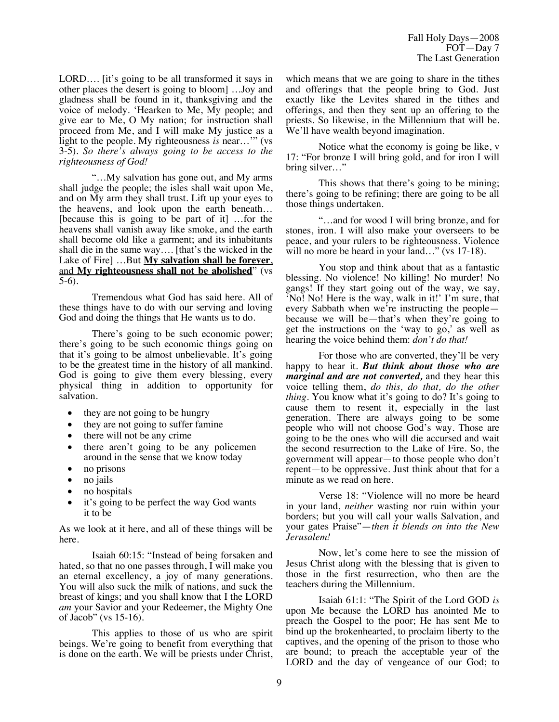LORD…. [it's going to be all transformed it says in other places the desert is going to bloom] …Joy and gladness shall be found in it, thanksgiving and the voice of melody. 'Hearken to Me, My people; and give ear to Me, O My nation; for instruction shall proceed from Me, and I will make My justice as a light to the people. My righteousness *is* near…'" (vs 3-5). *So there's always going to be access to the righteousness of God!*

"…My salvation has gone out, and My arms shall judge the people; the isles shall wait upon Me, and on My arm they shall trust. Lift up your eyes to the heavens, and look upon the earth beneath… [because this is going to be part of it] …for the heavens shall vanish away like smoke, and the earth shall become old like a garment; and its inhabitants shall die in the same way…. [that's the wicked in the Lake of Fire] …But **My salvation shall be forever**, and **My righteousness shall not be abolished**" (vs 5-6).

Tremendous what God has said here. All of these things have to do with our serving and loving God and doing the things that He wants us to do.

There's going to be such economic power; there's going to be such economic things going on that it's going to be almost unbelievable. It's going to be the greatest time in the history of all mankind. God is going to give them every blessing, every physical thing in addition to opportunity for salvation.

- they are not going to be hungry
- they are not going to suffer famine
- there will not be any crime
- there aren't going to be any policemen around in the sense that we know today
- no prisons
- no jails
- no hospitals
- it's going to be perfect the way God wants it to be

As we look at it here, and all of these things will be here.

Isaiah 60:15: "Instead of being forsaken and hated, so that no one passes through, I will make you an eternal excellency, a joy of many generations. You will also suck the milk of nations, and suck the breast of kings; and you shall know that I the LORD *am* your Savior and your Redeemer, the Mighty One of Jacob" (vs 15-16).

This applies to those of us who are spirit beings. We're going to benefit from everything that is done on the earth. We will be priests under Christ, which means that we are going to share in the tithes and offerings that the people bring to God. Just exactly like the Levites shared in the tithes and offerings, and then they sent up an offering to the priests. So likewise, in the Millennium that will be. We'll have wealth beyond imagination.

Notice what the economy is going be like, v 17: "For bronze I will bring gold, and for iron I will bring silver..."

This shows that there's going to be mining; there's going to be refining; there are going to be all those things undertaken.

"…and for wood I will bring bronze, and for stones, iron. I will also make your overseers to be peace, and your rulers to be righteousness. Violence will no more be heard in your land..." (vs 17-18).

You stop and think about that as a fantastic blessing. No violence! No killing! No murder! No gangs! If they start going out of the way, we say, 'No! No! Here is the way, walk in it!' I'm sure, that every Sabbath when we're instructing the people because we will be—that's when they're going to get the instructions on the 'way to go,' as well as hearing the voice behind them: *don't do that!*

For those who are converted, they'll be very happy to hear it. *But think about those who are marginal and are not converted,* and they hear this voice telling them, *do this, do that, do the other thing.* You know what it's going to do? It's going to cause them to resent it, especially in the last generation. There are always going to be some people who will not choose God's way. Those are going to be the ones who will die accursed and wait the second resurrection to the Lake of Fire. So, the government will appear—to those people who don't repent—to be oppressive. Just think about that for a minute as we read on here.

Verse 18: "Violence will no more be heard in your land, *neither* wasting nor ruin within your borders; but you will call your walls Salvation, and your gates Praise"—*then it blends on into the New Jerusalem!*

Now, let's come here to see the mission of Jesus Christ along with the blessing that is given to those in the first resurrection, who then are the teachers during the Millennium.

Isaiah 61:1: "The Spirit of the Lord GOD *is* upon Me because the LORD has anointed Me to preach the Gospel to the poor; He has sent Me to bind up the brokenhearted, to proclaim liberty to the captives, and the opening of the prison to those who are bound; to preach the acceptable year of the LORD and the day of vengeance of our God; to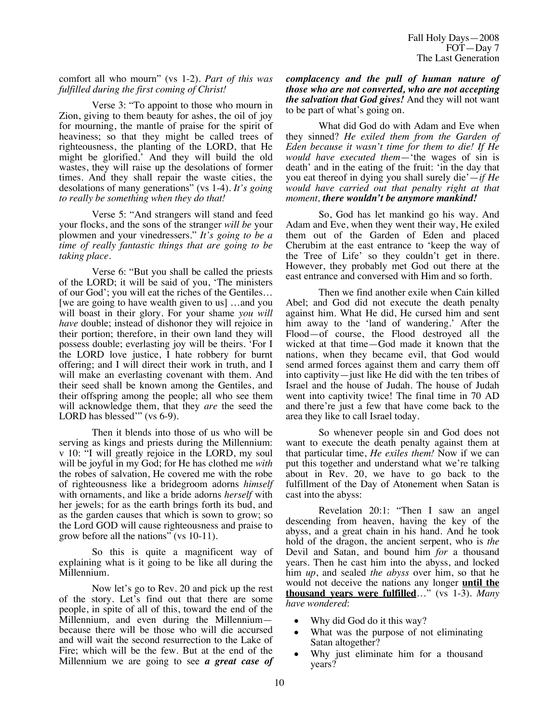comfort all who mourn" (vs 1-2). *Part of this was fulfilled during the first coming of Christ!*

Verse 3: "To appoint to those who mourn in Zion, giving to them beauty for ashes, the oil of joy for mourning, the mantle of praise for the spirit of heaviness; so that they might be called trees of righteousness, the planting of the LORD, that He might be glorified.' And they will build the old wastes, they will raise up the desolations of former times. And they shall repair the waste cities, the desolations of many generations" (vs 1-4). *It's going to really be something when they do that!*

Verse 5: "And strangers will stand and feed your flocks, and the sons of the stranger *will be* your plowmen and your vinedressers." *It's going to be a time of really fantastic things that are going to be taking place.*

Verse 6: "But you shall be called the priests of the LORD; it will be said of you, 'The ministers of our God'; you will eat the riches of the Gentiles… [we are going to have wealth given to us] …and you will boast in their glory. For your shame *you will have* double; instead of dishonor they will rejoice in their portion; therefore, in their own land they will possess double; everlasting joy will be theirs. 'For I the LORD love justice, I hate robbery for burnt offering; and I will direct their work in truth, and I will make an everlasting covenant with them. And their seed shall be known among the Gentiles, and their offspring among the people; all who see them will acknowledge them, that they *are* the seed the LORD has blessed" (vs 6-9).

Then it blends into those of us who will be serving as kings and priests during the Millennium: v 10: "I will greatly rejoice in the LORD, my soul will be joyful in my God; for He has clothed me *with* the robes of salvation, He covered me with the robe of righteousness like a bridegroom adorns *himself* with ornaments, and like a bride adorns *herself* with her jewels; for as the earth brings forth its bud, and as the garden causes that which is sown to grow; so the Lord GOD will cause righteousness and praise to grow before all the nations" (vs 10-11).

So this is quite a magnificent way of explaining what is it going to be like all during the Millennium.

Now let's go to Rev. 20 and pick up the rest of the story. Let's find out that there are some people, in spite of all of this, toward the end of the Millennium, and even during the Millennium because there will be those who will die accursed and will wait the second resurrection to the Lake of Fire; which will be the few. But at the end of the Millennium we are going to see *a great case of*  *complacency and the pull of human nature of those who are not converted, who are not accepting the salvation that God gives!* And they will not want to be part of what's going on.

What did God do with Adam and Eve when they sinned? *He exiled them from the Garden of Eden because it wasn't time for them to die! If He would have executed them*—'the wages of sin is death' and in the eating of the fruit: 'in the day that you eat thereof in dying you shall surely die'—*if He would have carried out that penalty right at that moment, there wouldn't be anymore mankind!*

So, God has let mankind go his way. And Adam and Eve, when they went their way, He exiled them out of the Garden of Eden and placed Cherubim at the east entrance to 'keep the way of the Tree of Life' so they couldn't get in there. However, they probably met God out there at the east entrance and conversed with Him and so forth.

Then we find another exile when Cain killed Abel; and God did not execute the death penalty against him. What He did, He cursed him and sent him away to the 'land of wandering.' After the Flood—of course, the Flood destroyed all the wicked at that time—God made it known that the nations, when they became evil, that God would send armed forces against them and carry them off into captivity—just like He did with the ten tribes of Israel and the house of Judah. The house of Judah went into captivity twice! The final time in 70 AD and there're just a few that have come back to the area they like to call Israel today.

So whenever people sin and God does not want to execute the death penalty against them at that particular time, *He exiles them!* Now if we can put this together and understand what we're talking about in Rev. 20, we have to go back to the fulfillment of the Day of Atonement when Satan is cast into the abyss:

Revelation 20:1: "Then I saw an angel descending from heaven, having the key of the abyss, and a great chain in his hand. And he took hold of the dragon, the ancient serpent, who is *the* Devil and Satan, and bound him *for* a thousand years. Then he cast him into the abyss, and locked him *up*, and sealed *the abyss* over him, so that he would not deceive the nations any longer **until the thousand years were fulfilled**…" (vs 1-3). *Many have wondered*:

- Why did God do it this way?
- What was the purpose of not eliminating Satan altogether?
- Why just eliminate him for a thousand years?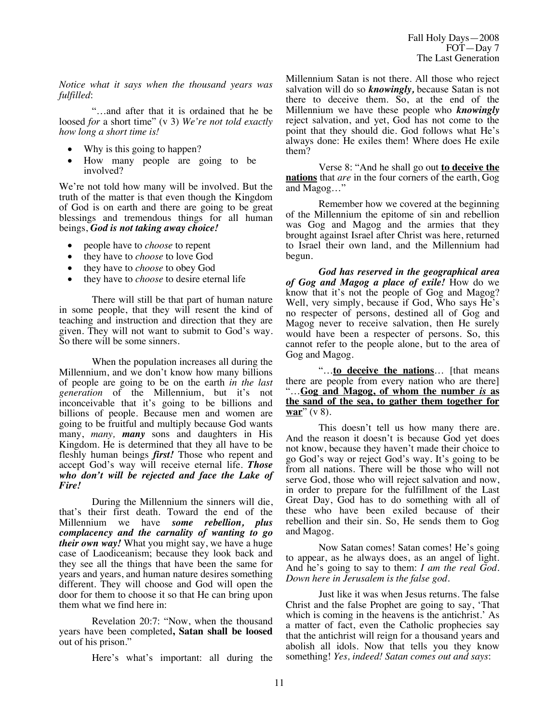Fall Holy Days—2008 FOT—Day 7 The Last Generation

*Notice what it says when the thousand years was fulfilled*:

"…and after that it is ordained that he be loosed *for* a short time" (v 3) *We're not told exactly how long a short time is!* 

- Why is this going to happen?
- How many people are going to be involved?

We're not told how many will be involved. But the truth of the matter is that even though the Kingdom of God is on earth and there are going to be great blessings and tremendous things for all human beings, *God is not taking away choice!*

- people have to *choose* to repent
- they have to *choose* to love God
- they have to *choose* to obey God
- they have to *choose* to desire eternal life

There will still be that part of human nature in some people, that they will resent the kind of teaching and instruction and direction that they are given. They will not want to submit to God's way. So there will be some sinners.

When the population increases all during the Millennium, and we don't know how many billions of people are going to be on the earth *in the last generation* of the Millennium, but it's not inconceivable that it's going to be billions and billions of people. Because men and women are going to be fruitful and multiply because God wants many, *many, many* sons and daughters in His Kingdom. He is determined that they all have to be fleshly human beings *first!* Those who repent and accept God's way will receive eternal life. *Those who don't will be rejected and face the Lake of Fire!*

During the Millennium the sinners will die, that's their first death. Toward the end of the Millennium we have *some rebellion, plus complacency and the carnality of wanting to go their own way!* What you might say, we have a huge case of Laodiceanism; because they look back and they see all the things that have been the same for years and years, and human nature desires something different. They will choose and God will open the door for them to choose it so that He can bring upon them what we find here in:

Revelation 20:7: "Now, when the thousand years have been completed**, Satan shall be loosed** out of his prison."

Here's what's important: all during the

Millennium Satan is not there. All those who reject salvation will do so *knowingly,* because Satan is not there to deceive them. So, at the end of the Millennium we have these people who *knowingly*  reject salvation, and yet, God has not come to the point that they should die. God follows what He's always done: He exiles them! Where does He exile them?

Verse 8: "And he shall go out **to deceive the nations** that *are* in the four corners of the earth, Gog and Magog…"

Remember how we covered at the beginning of the Millennium the epitome of sin and rebellion was Gog and Magog and the armies that they brought against Israel after Christ was here, returned to Israel their own land, and the Millennium had begun.

*God has reserved in the geographical area of Gog and Magog a place of exile!* How do we know that it's not the people of Gog and Magog? Well, very simply, because if God, Who says He's no respecter of persons, destined all of Gog and Magog never to receive salvation, then He surely would have been a respecter of persons. So, this cannot refer to the people alone, but to the area of Gog and Magog.

"…**to deceive the nations**… [that means there are people from every nation who are there] "…**Gog and Magog, of whom the number** *is* **as the sand of the sea, to gather them together for war**" (v 8).

This doesn't tell us how many there are. And the reason it doesn't is because God yet does not know, because they haven't made their choice to go God's way or reject God's way. It's going to be from all nations. There will be those who will not serve God, those who will reject salvation and now, in order to prepare for the fulfillment of the Last Great Day, God has to do something with all of these who have been exiled because of their rebellion and their sin. So, He sends them to Gog and Magog.

Now Satan comes! Satan comes! He's going to appear, as he always does, as an angel of light. And he's going to say to them: *I am the real God. Down here in Jerusalem is the false god.*

Just like it was when Jesus returns. The false Christ and the false Prophet are going to say, 'That which is coming in the heavens is the antichrist.' As a matter of fact, even the Catholic prophecies say that the antichrist will reign for a thousand years and abolish all idols. Now that tells you they know something! *Yes, indeed! Satan comes out and says*: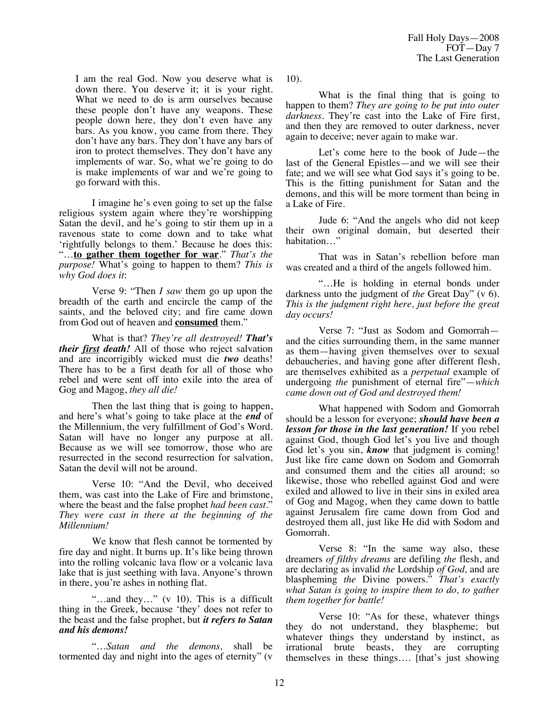I am the real God. Now you deserve what is down there. You deserve it; it is your right. What we need to do is arm ourselves because these people don't have any weapons. These people down here, they don't even have any bars. As you know, you came from there. They don't have any bars. They don't have any bars of iron to protect themselves. They don't have any implements of war. So, what we're going to do is make implements of war and we're going to go forward with this.

I imagine he's even going to set up the false religious system again where they're worshipping Satan the devil, and he's going to stir them up in a ravenous state to come down and to take what 'rightfully belongs to them.' Because he does this: "…**to gather them together for war**." *That's the purpose!* What's going to happen to them? *This is why God does it*:

Verse 9: "Then *I saw* them go up upon the breadth of the earth and encircle the camp of the saints, and the beloved city; and fire came down from God out of heaven and **consumed** them."

What is that? *They're all destroyed! That's their first death!* All of those who reject salvation and are incorrigibly wicked must die *two* deaths! There has to be a first death for all of those who rebel and were sent off into exile into the area of Gog and Magog, *they all die!* 

Then the last thing that is going to happen, and here's what's going to take place at the *end* of the Millennium, the very fulfillment of God's Word. Satan will have no longer any purpose at all. Because as we will see tomorrow, those who are resurrected in the second resurrection for salvation, Satan the devil will not be around.

Verse 10: "And the Devil, who deceived them, was cast into the Lake of Fire and brimstone, where the beast and the false prophet *had been cast.*" *They were cast in there at the beginning of the Millennium!*

We know that flesh cannot be tormented by fire day and night. It burns up. It's like being thrown into the rolling volcanic lava flow or a volcanic lava lake that is just seething with lava. Anyone's thrown in there, you're ashes in nothing flat.

"…and they…" (v 10). This is a difficult thing in the Greek, because 'they' does not refer to the beast and the false prophet, but *it refers to Satan and his demons!*

"…*Satan and the demons,* shall be tormented day and night into the ages of eternity" (v

10).

What is the final thing that is going to happen to them? *They are going to be put into outer darkness.* They're cast into the Lake of Fire first, and then they are removed to outer darkness, never again to deceive; never again to make war.

Let's come here to the book of Jude—the last of the General Epistles—and we will see their fate; and we will see what God says it's going to be. This is the fitting punishment for Satan and the demons, and this will be more torment than being in a Lake of Fire.

Jude 6: "And the angels who did not keep their own original domain, but deserted their habitation…"

That was in Satan's rebellion before man was created and a third of the angels followed him.

"…He is holding in eternal bonds under darkness unto the judgment of *the* Great Day" (v 6). *This is the judgment right here, just before the great day occurs!* 

Verse 7: "Just as Sodom and Gomorrah and the cities surrounding them, in the same manner as them—having given themselves over to sexual debaucheries, and having gone after different flesh, are themselves exhibited as a *perpetual* example of undergoing *the* punishment of eternal fire"—*which came down out of God and destroyed them!*

What happened with Sodom and Gomorrah should be a lesson for everyone; *should have been a lesson for those in the last generation!* If you rebel against God, though God let's you live and though God let's you sin, *know* that judgment is coming! Just like fire came down on Sodom and Gomorrah and consumed them and the cities all around; so likewise, those who rebelled against God and were exiled and allowed to live in their sins in exiled area of Gog and Magog, when they came down to battle against Jerusalem fire came down from God and destroyed them all, just like He did with Sodom and Gomorrah.

Verse 8: "In the same way also, these dreamers *of filthy dreams* are defiling *the* flesh, and are declaring as invalid *the* Lordship *of God,* and are blaspheming *the* Divine powers." *That's exactly what Satan is going to inspire them to do, to gather them together for battle!*

Verse 10: "As for these, whatever things they do not understand, they blaspheme; but whatever things they understand by instinct, as irrational brute beasts, they are corrupting themselves in these things…. [that's just showing